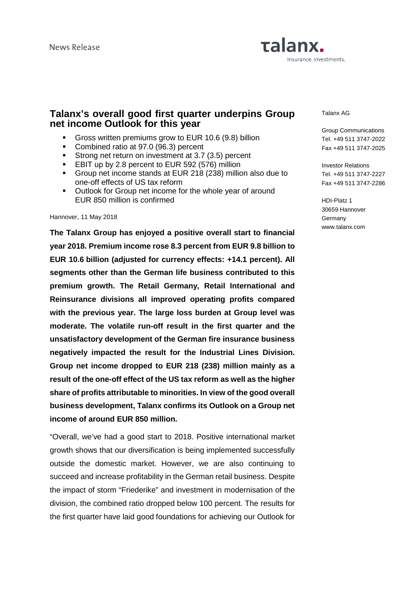# Talanx. Insurance. Investments.

# **Talanx's overall good first quarter underpins Group net income Outlook for this year**

- Gross written premiums grow to EUR 10.6 (9.8) billion
- Combined ratio at 97.0 (96.3) percent
- Strong net return on investment at 3.7 (3.5) percent
- **EBIT up by 2.8 percent to EUR 592 (576) million**
- Group net income stands at EUR 218 (238) million also due to one-off effects of US tax reform
- **Outlook for Group net income for the whole year of around** EUR 850 million is confirmed

Hannover, 11 May 2018

**The Talanx Group has enjoyed a positive overall start to financial year 2018. Premium income rose 8.3 percent from EUR 9.8 billion to EUR 10.6 billion (adjusted for currency effects: +14.1 percent). All segments other than the German life business contributed to this premium growth. The Retail Germany, Retail International and Reinsurance divisions all improved operating profits compared with the previous year. The large loss burden at Group level was moderate. The volatile run-off result in the first quarter and the unsatisfactory development of the German fire insurance business negatively impacted the result for the Industrial Lines Division. Group net income dropped to EUR 218 (238) million mainly as a result of the one-off effect of the US tax reform as well as the higher share of profits attributable to minorities. In view of the good overall business development, Talanx confirms its Outlook on a Group net income of around EUR 850 million.** 

"Overall, we've had a good start to 2018. Positive international market growth shows that our diversification is being implemented successfully outside the domestic market. However, we are also continuing to succeed and increase profitability in the German retail business. Despite the impact of storm "Friederike" and investment in modernisation of the division, the combined ratio dropped below 100 percent. The results for the first quarter have laid good foundations for achieving our Outlook for

Talanx AG

Group Communications Tel. +49 511 3747-2022 Fax +49 511 3747-2025

Investor Relations Tel. +49 511 3747-2227 Fax +49 511 3747-2286

HDI-Platz 1 30659 Hannover **Germany** www.talanx.com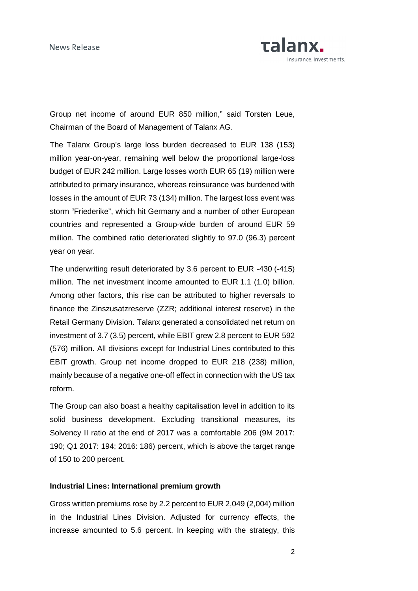

Group net income of around EUR 850 million," said Torsten Leue, Chairman of the Board of Management of Talanx AG.

The Talanx Group's large loss burden decreased to EUR 138 (153) million year-on-year, remaining well below the proportional large-loss budget of EUR 242 million. Large losses worth EUR 65 (19) million were attributed to primary insurance, whereas reinsurance was burdened with losses in the amount of EUR 73 (134) million. The largest loss event was storm "Friederike", which hit Germany and a number of other European countries and represented a Group-wide burden of around EUR 59 million. The combined ratio deteriorated slightly to 97.0 (96.3) percent year on year.

The underwriting result deteriorated by 3.6 percent to EUR -430 (-415) million. The net investment income amounted to EUR 1.1 (1.0) billion. Among other factors, this rise can be attributed to higher reversals to finance the Zinszusatzreserve (ZZR; additional interest reserve) in the Retail Germany Division. Talanx generated a consolidated net return on investment of 3.7 (3.5) percent, while EBIT grew 2.8 percent to EUR 592 (576) million. All divisions except for Industrial Lines contributed to this EBIT growth. Group net income dropped to EUR 218 (238) million, mainly because of a negative one-off effect in connection with the US tax reform.

The Group can also boast a healthy capitalisation level in addition to its solid business development. Excluding transitional measures, its Solvency II ratio at the end of 2017 was a comfortable 206 (9M 2017: 190; Q1 2017: 194; 2016: 186) percent, which is above the target range of 150 to 200 percent.

#### **Industrial Lines: International premium growth**

Gross written premiums rose by 2.2 percent to EUR 2,049 (2,004) million in the Industrial Lines Division. Adjusted for currency effects, the increase amounted to 5.6 percent. In keeping with the strategy, this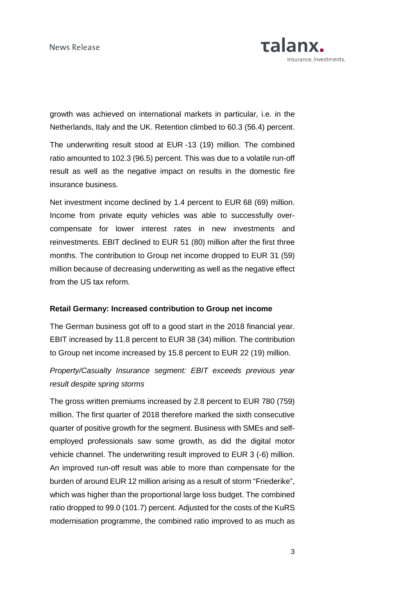

growth was achieved on international markets in particular, i.e. in the Netherlands, Italy and the UK. Retention climbed to 60.3 (56.4) percent.

The underwriting result stood at EUR -13 (19) million. The combined ratio amounted to 102.3 (96.5) percent. This was due to a volatile run-off result as well as the negative impact on results in the domestic fire insurance business.

Net investment income declined by 1.4 percent to EUR 68 (69) million. Income from private equity vehicles was able to successfully overcompensate for lower interest rates in new investments and reinvestments. EBIT declined to EUR 51 (80) million after the first three months. The contribution to Group net income dropped to EUR 31 (59) million because of decreasing underwriting as well as the negative effect from the US tax reform.

#### **Retail Germany: Increased contribution to Group net income**

The German business got off to a good start in the 2018 financial year. EBIT increased by 11.8 percent to EUR 38 (34) million. The contribution to Group net income increased by 15.8 percent to EUR 22 (19) million.

Property/Casualty Insurance segment: EBIT exceeds previous year result despite spring storms

The gross written premiums increased by 2.8 percent to EUR 780 (759) million. The first quarter of 2018 therefore marked the sixth consecutive quarter of positive growth for the segment. Business with SMEs and selfemployed professionals saw some growth, as did the digital motor vehicle channel. The underwriting result improved to EUR 3 (-6) million. An improved run-off result was able to more than compensate for the burden of around EUR 12 million arising as a result of storm "Friederike", which was higher than the proportional large loss budget. The combined ratio dropped to 99.0 (101.7) percent. Adjusted for the costs of the KuRS modernisation programme, the combined ratio improved to as much as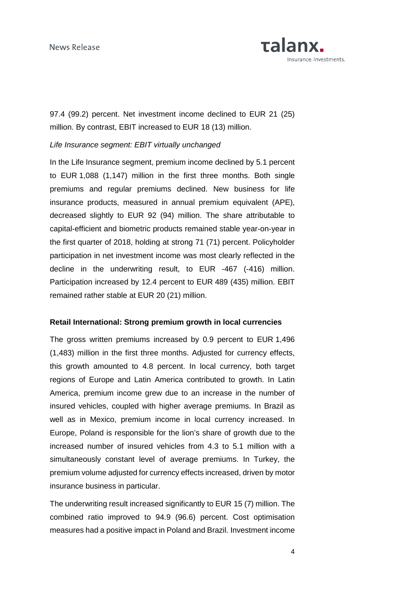

97.4 (99.2) percent. Net investment income declined to EUR 21 (25) million. By contrast, EBIT increased to EUR 18 (13) million.

## Life Insurance segment: EBIT virtually unchanged

In the Life Insurance segment, premium income declined by 5.1 percent to EUR 1,088 (1,147) million in the first three months. Both single premiums and regular premiums declined. New business for life insurance products, measured in annual premium equivalent (APE), decreased slightly to EUR 92 (94) million. The share attributable to capital-efficient and biometric products remained stable year-on-year in the first quarter of 2018, holding at strong 71 (71) percent. Policyholder participation in net investment income was most clearly reflected in the decline in the underwriting result, to EUR -467 (-416) million. Participation increased by 12.4 percent to EUR 489 (435) million. EBIT remained rather stable at EUR 20 (21) million.

## **Retail International: Strong premium growth in local currencies**

The gross written premiums increased by 0.9 percent to EUR 1,496 (1,483) million in the first three months. Adjusted for currency effects, this growth amounted to 4.8 percent. In local currency, both target regions of Europe and Latin America contributed to growth. In Latin America, premium income grew due to an increase in the number of insured vehicles, coupled with higher average premiums. In Brazil as well as in Mexico, premium income in local currency increased. In Europe, Poland is responsible for the lion's share of growth due to the increased number of insured vehicles from 4.3 to 5.1 million with a simultaneously constant level of average premiums. In Turkey, the premium volume adjusted for currency effects increased, driven by motor insurance business in particular.

The underwriting result increased significantly to EUR 15 (7) million. The combined ratio improved to 94.9 (96.6) percent. Cost optimisation measures had a positive impact in Poland and Brazil. Investment income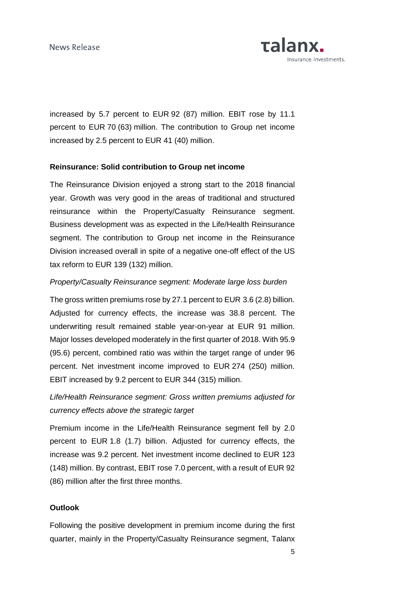

increased by 5.7 percent to EUR 92 (87) million. EBIT rose by 11.1 percent to EUR 70 (63) million. The contribution to Group net income increased by 2.5 percent to EUR 41 (40) million.

## **Reinsurance: Solid contribution to Group net income**

The Reinsurance Division enjoyed a strong start to the 2018 financial year. Growth was very good in the areas of traditional and structured reinsurance within the Property/Casualty Reinsurance segment. Business development was as expected in the Life/Health Reinsurance segment. The contribution to Group net income in the Reinsurance Division increased overall in spite of a negative one-off effect of the US tax reform to EUR 139 (132) million.

## Property/Casualty Reinsurance segment: Moderate large loss burden

The gross written premiums rose by 27.1 percent to EUR 3.6 (2.8) billion. Adjusted for currency effects, the increase was 38.8 percent. The underwriting result remained stable year-on-year at EUR 91 million. Major losses developed moderately in the first quarter of 2018. With 95.9 (95.6) percent, combined ratio was within the target range of under 96 percent. Net investment income improved to EUR 274 (250) million. EBIT increased by 9.2 percent to EUR 344 (315) million.

Life/Health Reinsurance segment: Gross written premiums adjusted for currency effects above the strategic target

Premium income in the Life/Health Reinsurance segment fell by 2.0 percent to EUR 1.8 (1.7) billion. Adjusted for currency effects, the increase was 9.2 percent. Net investment income declined to EUR 123 (148) million. By contrast, EBIT rose 7.0 percent, with a result of EUR 92 (86) million after the first three months.

## **Outlook**

Following the positive development in premium income during the first quarter, mainly in the Property/Casualty Reinsurance segment, Talanx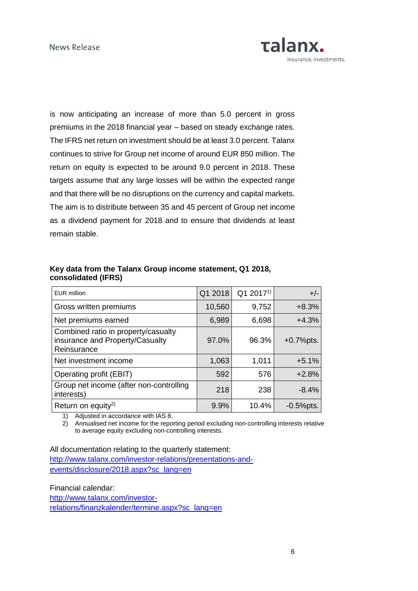

is now anticipating an increase of more than 5.0 percent in gross premiums in the 2018 financial year – based on steady exchange rates. The IFRS net return on investment should be at least 3.0 percent. Talanx continues to strive for Group net income of around EUR 850 million. The return on equity is expected to be around 9.0 percent in 2018. These targets assume that any large losses will be within the expected range and that there will be no disruptions on the currency and capital markets. The aim is to distribute between 35 and 45 percent of Group net income as a dividend payment for 2018 and to ensure that dividends at least remain stable.

## **Key data from the Talanx Group income statement, Q1 2018, consolidated (IFRS)**

| <b>EUR</b> million                                                                    | Q1 2018 | Q1 2017 <sup>1)</sup> | $+/-$        |
|---------------------------------------------------------------------------------------|---------|-----------------------|--------------|
| Gross written premiums                                                                | 10,560  | 9,752                 | $+8.3%$      |
| Net premiums earned                                                                   | 6,989   | 6,698                 | $+4.3%$      |
| Combined ratio in property/casualty<br>insurance and Property/Casualty<br>Reinsurance | 97.0%   | 96.3%                 | $+0.7%$ pts. |
| Net investment income                                                                 | 1,063   | 1,011                 | $+5.1%$      |
| Operating profit (EBIT)                                                               | 592     | 576                   | $+2.8%$      |
| Group net income (after non-controlling<br>interests)                                 | 218     | 238                   | $-8.4%$      |
| Return on equity <sup>2)</sup>                                                        | 9.9%    | 10.4%                 | $-0.5%$ pts. |

1) Adjusted in accordance with IAS 8.

2) Annualised net income for the reporting period excluding non-controlling interests relative to average equity excluding non-controlling interests.

All documentation relating to the quarterly statement:

http://www.talanx.com/investor-relations/presentations-andevents/disclosure/2018.aspx?sc\_lang=en

Financial calendar: http://www.talanx.com/investorrelations/finanzkalender/termine.aspx?sc\_lang=en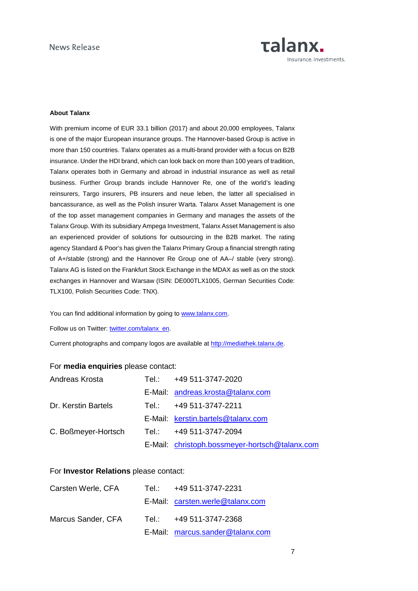

#### **About Talanx**

With premium income of EUR 33.1 billion (2017) and about 20,000 employees, Talanx is one of the major European insurance groups. The Hannover-based Group is active in more than 150 countries. Talanx operates as a multi-brand provider with a focus on B2B insurance. Under the HDI brand, which can look back on more than 100 years of tradition, Talanx operates both in Germany and abroad in industrial insurance as well as retail business. Further Group brands include Hannover Re, one of the world's leading reinsurers, Targo insurers, PB insurers and neue leben, the latter all specialised in bancassurance, as well as the Polish insurer Warta. Talanx Asset Management is one of the top asset management companies in Germany and manages the assets of the Talanx Group. With its subsidiary Ampega Investment, Talanx Asset Management is also an experienced provider of solutions for outsourcing in the B2B market. The rating agency Standard & Poor's has given the Talanx Primary Group a financial strength rating of A+/stable (strong) and the Hannover Re Group one of AA–/ stable (very strong). Talanx AG is listed on the Frankfurt Stock Exchange in the MDAX as well as on the stock exchanges in Hannover and Warsaw (ISIN: DE000TLX1005, German Securities Code: TLX100, Polish Securities Code: TNX).

You can find additional information by going to www.talanx.com.

Follow us on Twitter: twitter.com/talanx\_en.

Current photographs and company logos are available at http://mediathek.talanx.de.

#### For **media enquiries** please contact:

| Andreas Krosta                              | Tel.: +49 511-3747-2020                        |
|---------------------------------------------|------------------------------------------------|
|                                             | E-Mail: andreas.krosta@talanx.com              |
| Dr. Kerstin Bartels                         | Tel.: +49 511-3747-2211                        |
|                                             | E-Mail: kerstin.bartels@talanx.com             |
| C. Boßmeyer-Hortsch Tel.: +49 511-3747-2094 |                                                |
|                                             | E-Mail: christoph.bossmeyer-hortsch@talanx.com |

#### For **Investor Relations** please contact:

| Carsten Werle, CFA | Tel.: +49 511-3747-2231          |
|--------------------|----------------------------------|
|                    | E-Mail: carsten.werle@talanx.com |
| Marcus Sander, CFA | Tel.: +49 511-3747-2368          |
|                    | E-Mail: marcus.sander@talanx.com |